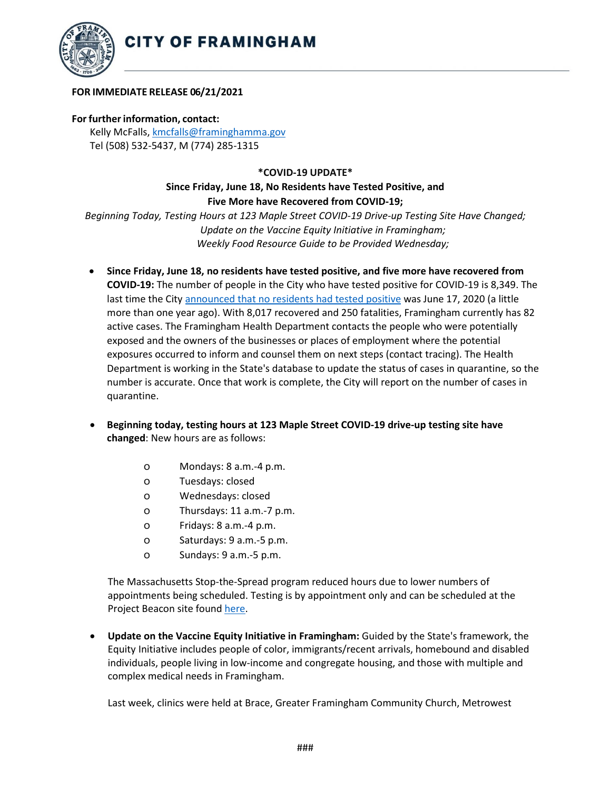

## **FOR IMMEDIATE RELEASE 06/21/2021**

## **For further information, contact:**

Kelly McFalls[, kmcfalls@framinghamma.gov](mailto:kmcfalls@framinghamma.gov) Tel (508) 532-5437, M (774) 285-1315

## **\*COVID-19 UPDATE\***

## **Since Friday, June 18, No Residents have Tested Positive, and Five More have Recovered from COVID-19;**

*Beginning Today, Testing Hours at 123 Maple Street COVID-19 Drive-up Testing Site Have Changed; Update on the Vaccine Equity Initiative in Framingham; Weekly Food Resource Guide to be Provided Wednesday;*

- **Since Friday, June 18, no residents have tested positive, and five more have recovered from COVID-19:** The number of people in the City who have tested positive for COVID-19 is 8,349. The last time the City announced [that no residents had tested positive](https://www.framinghamma.gov/DocumentCenter/View/38377/Press-Release---COVID-19-06172020-no-positives-openings-parking-002) was June 17, 2020 (a little more than one year ago). With 8,017 recovered and 250 fatalities, Framingham currently has 82 active cases. The Framingham Health Department contacts the people who were potentially exposed and the owners of the businesses or places of employment where the potential exposures occurred to inform and counsel them on next steps (contact tracing). The Health Department is working in the State's database to update the status of cases in quarantine, so the number is accurate. Once that work is complete, the City will report on the number of cases in quarantine.
- **Beginning today, testing hours at 123 Maple Street COVID-19 drive-up testing site have changed**: New hours are as follows:
	- o Mondays: 8 a.m.-4 p.m.
	- o Tuesdays: closed
	- o Wednesdays: closed
	- o Thursdays: 11 a.m.-7 p.m.
	- o Fridays: 8 a.m.-4 p.m.
	- o Saturdays: 9 a.m.-5 p.m.
	- o Sundays: 9 a.m.-5 p.m.

The Massachusetts Stop-the-Spread program reduced hours due to lower numbers of appointments being scheduled. Testing is by appointment only and can be scheduled at the Project Beacon site found [here.](https://app.beacontesting.com/login)

• **Update on the Vaccine Equity Initiative in Framingham:** Guided by the State's framework, the Equity Initiative includes people of color, immigrants/recent arrivals, homebound and disabled individuals, people living in low-income and congregate housing, and those with multiple and complex medical needs in Framingham.

Last week, clinics were held at Brace, Greater Framingham Community Church, Metrowest